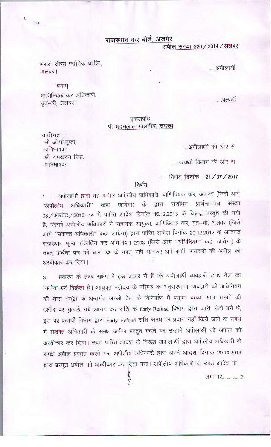राजस्थान कर बोर्ड, अजमेर

अपील संख्या 226 / 2014 / अलवर

.....अपीलार्थी

मैसर्स सौरभ एग्रोटेक प्रा.लि., अलवर।

 $\hat{\mathbf{r}}$ 

बनाम् वाणिज्यिक कर अधिकारी, वत-बी, अलवर।

उपस्थित ::

अभिभाषक

अभिभाषक

श्री ओ.पी.गुप्ता,

श्री रामकरण सिंह,

.....प्रत्यर्थी

## एकलपीठ श्री मदनलाल मालवीय, सदस्य

अपीलार्थी की ओर से

......प्रत्यर्थी विभाग की ओर से

निर्णय दिनांक: 21/07/2017

## निर्णय

अपीलार्थी द्वारा यह अपील अपीलीय प्राधिकारी, वाणिज्यिक कर, अलवर (जिसे आगे  $\overline{1}$ "अपीलीय अधिकारी" कहा जायेगा) के द्वारा संशोधन प्रार्थना-पत्र संख्या 03 / आरवेट / 2013-14 में पारित आदेश दिनांक 16.12.2013 के विरूद्ध प्रस्तुत की गयी है, जिसमें अपीलीय अधिकारी ने सहायक आयुक्त, वाणिज्यिक कर, वृत–बी, अलवर (जिसे आगे "सशक्त अधिकारी" कहा जायेगा) द्वारा पारित आदेश दिनांक 20.12.2012 के अन्तर्गत राजस्थान मूल्य परिवर्धित कर अधिनियम 2003 (जिसे आगे "अधिनियम" कहा जायेगा) के तहत् प्रार्थना पत्र को धारा 33 के तहत् नहीं मानकर अपीलार्थी व्यवहारी की अपील को अस्वीकार कर दिया।

प्रकरण के तथ्य संक्षेप में इस प्रकार से हैं कि अपीलार्थी व्यवहारी खाद्य तेल का  $3.$ निर्माता एवं विक्रेता है। आयुक्त महोदय के परिपत्र के अनुसरण में व्यवहारी को अधिनियम की धारा 17(2) के अन्तर्गत सरसों तेल के विनिर्माण में प्रयुक्त कच्चा माल सरसों की खरीद पर चुकाये गये आगत कर राशि के Early Refund विभाग द्वारा जारी किये गये थे, इस पर प्रत्यर्थी विभाग द्वारा Early Refund राशि समय पर प्रदान नहीं किये जाने के संदर्भ में सशक्त अधिकारी के समक्ष अपील प्रस्तुत करने पर उन्होंने अपीलार्थी की अपील को अस्वीकार कर दिया। उक्त पारित आदेश के विरूद्ध अपीलार्थी द्वारा अपीलीय अधिकारी के समक्ष अपील प्रस्तुत करने पर, अपीलीय अधिकारी द्वारा अपने आदेश दिनांक 29.10.2013

द्वारा प्रस्तुत अपील को अस्वीकार कर दिया गया। अपीलीय अधिकारी के उक्त आदेश के

y

लगातार................2